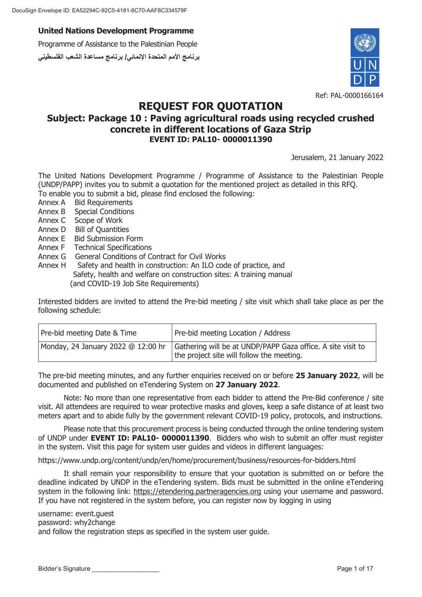Programme of Assistance to the Palestinian People **برنامج الأمم المتحدة الإنمائي/ برنامج مساعدة الشعب الفلسطیني**



# **REQUEST FOR QUOTATION**

## **Subject: Package 10 : Paving agricultural roads using recycled crushed concrete in different locations of Gaza Strip EVENT ID: PAL10- 0000011390**

Jerusalem, 21 January 2022

The United Nations Development Programme / Programme of Assistance to the Palestinian People (UNDP/PAPP) invites you to submit a quotation for the mentioned project as detailed in this RFQ. To enable you to submit a bid, please find enclosed the following:

- Annex A Bid Requirements
- Annex B Special Conditions
- Annex C Scope of Work
- Annex D Bill of Quantities
- Annex E Bid Submission Form
- Annex F Technical Specifications
- Annex G General Conditions of Contract for Civil Works
- Annex H Safety and health in construction: An ILO code of practice, and Safety, health and welfare on construction sites: A training manual (and COVID-19 Job Site Requirements)

Interested bidders are invited to attend the Pre-bid meeting / site visit which shall take place as per the following schedule:

| Pre-bid meeting Date & Time | Pre-bid meeting Location / Address                                                                                                            |
|-----------------------------|-----------------------------------------------------------------------------------------------------------------------------------------------|
|                             | Monday, 24 January 2022 @ 12:00 hr   Gathering will be at UNDP/PAPP Gaza office. A site visit to<br>the project site will follow the meeting. |

The pre-bid meeting minutes, and any further enquiries received on or before **25 January 2022**, will be documented and published on eTendering System on **27 January 2022**.

Note: No more than one representative from each bidder to attend the Pre-Bid conference / site visit. All attendees are required to wear protective masks and gloves, keep a safe distance of at least two meters apart and to abide fully by the government relevant COVID-19 policy, protocols, and instructions.

Please note that this procurement process is being conducted through the online tendering system of UNDP under **EVENT ID: PAL10- 0000011390**. Bidders who wish to submit an offer must register in the system. Visit this page for system user guides and videos in different languages:

https://www.undp.org/content/undp/en/home/procurement/business/resources-for-bidders.html

It shall remain your responsibility to ensure that your quotation is submitted on or before the deadline indicated by UNDP in the eTendering system. Bids must be submitted in the online eTendering system in the following link: https://etendering.partneragencies.org using your username and password. If you have not registered in the system before, you can register now by logging in using

username: event.guest

password: why2change

and follow the registration steps as specified in the system user guide.

Bidder's Signature Later Communication and the communication of the communication of the Page 1 of 17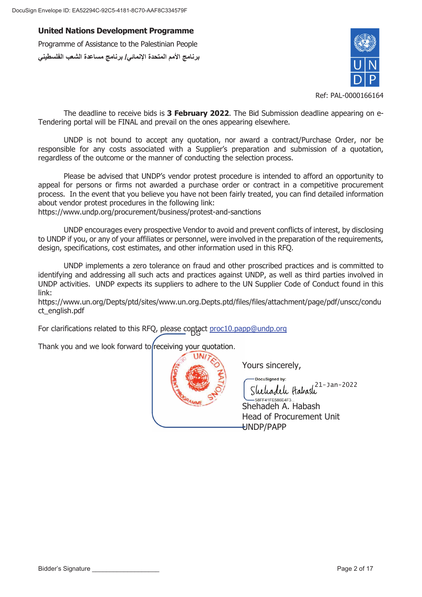**United Nations Development Programme** Programme of Assistance to the Palestinian People

**برنامج الأمم المتحدة الإنمائي/ برنامج مساعدة الشعب الفلسطیني**



Ref: PAL-0000166164

The deadline to receive bids is **3 February 2022**. The Bid Submission deadline appearing on e-Tendering portal will be FINAL and prevail on the ones appearing elsewhere.

UNDP is not bound to accept any quotation, nor award a contract/Purchase Order, nor be responsible for any costs associated with a Supplier's preparation and submission of a quotation, regardless of the outcome or the manner of conducting the selection process.

Please be advised that UNDP's vendor protest procedure is intended to afford an opportunity to appeal for persons or firms not awarded a purchase order or contract in a competitive procurement process. In the event that you believe you have not been fairly treated, you can find detailed information about vendor protest procedures in the following link:

https://www.undp.org/procurement/business/protest-and-sanctions

UNDP encourages every prospective Vendor to avoid and prevent conflicts of interest, by disclosing to UNDP if you, or any of your affiliates or personnel, were involved in the preparation of the requirements, design, specifications, cost estimates, and other information used in this RFQ.

UNDP implements a zero tolerance on fraud and other proscribed practices and is committed to identifying and addressing all such acts and practices against UNDP, as well as third parties involved in UNDP activities. UNDP expects its suppliers to adhere to the UN Supplier Code of Conduct found in this link:

https://www.un.org/Depts/ptd/sites/www.un.org.Depts.ptd/files/files/attachment/page/pdf/unscc/condu ct\_english.pdf

For clarifications related to this RFQ, please contact proc10.papp@undp.org

Thank you and we look forward to receiving your quotation.



Yours sincerely, Y

UNDP/PAPP U

DocuSianed by: 21-Jan-2022 .<br>58FF41FE586E4F3.. Shehadeh A. Habash S Head of Procurement Unit H

Bidder's Signature equal to the control of the control of the control of the control of the Page 2 of 17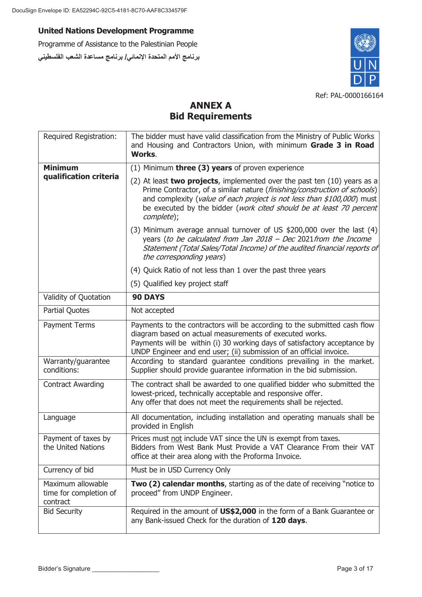Programme of Assistance to the Palestinian People **برنامج الأمم المتحدة الإنمائي/ برنامج مساعدة الشعب الفلسطیني**



# **ANNEX A Bid Requirements**

| Required Registration:                                  | The bidder must have valid classification from the Ministry of Public Works<br>and Housing and Contractors Union, with minimum Grade 3 in Road<br>Works.                                                                                                                                                               |
|---------------------------------------------------------|------------------------------------------------------------------------------------------------------------------------------------------------------------------------------------------------------------------------------------------------------------------------------------------------------------------------|
| <b>Minimum</b>                                          | (1) Minimum <b>three (3) years</b> of proven experience                                                                                                                                                                                                                                                                |
| qualification criteria                                  | (2) At least two projects, implemented over the past ten $(10)$ years as a<br>Prime Contractor, of a similar nature (finishing/construction of schools)<br>and complexity (value of each project is not less than \$100,000) must<br>be executed by the bidder (work cited should be at least 70 percent<br>complete); |
|                                                         | (3) Minimum average annual turnover of US \$200,000 over the last (4)<br>years (to be calculated from Jan $2018$ – Dec 2021 from the Income<br>Statement (Total Sales/Total Income) of the audited financial reports of<br>the corresponding years)                                                                    |
|                                                         | (4) Quick Ratio of not less than 1 over the past three years                                                                                                                                                                                                                                                           |
|                                                         | (5) Qualified key project staff                                                                                                                                                                                                                                                                                        |
| Validity of Quotation                                   | <b>90 DAYS</b>                                                                                                                                                                                                                                                                                                         |
| <b>Partial Quotes</b>                                   | Not accepted                                                                                                                                                                                                                                                                                                           |
| Payment Terms                                           | Payments to the contractors will be according to the submitted cash flow<br>diagram based on actual measurements of executed works.<br>Payments will be within (i) 30 working days of satisfactory acceptance by<br>UNDP Engineer and end user; (ii) submission of an official invoice.                                |
| Warranty/guarantee<br>conditions:                       | According to standard guarantee conditions prevailing in the market.<br>Supplier should provide guarantee information in the bid submission.                                                                                                                                                                           |
| <b>Contract Awarding</b>                                | The contract shall be awarded to one qualified bidder who submitted the<br>lowest-priced, technically acceptable and responsive offer.<br>Any offer that does not meet the requirements shall be rejected.                                                                                                             |
| Language                                                | All documentation, including installation and operating manuals shall be<br>provided in English                                                                                                                                                                                                                        |
| Payment of taxes by<br>the United Nations               | Prices must not include VAT since the UN is exempt from taxes.<br>Bidders from West Bank Must Provide a VAT Clearance From their VAT<br>office at their area along with the Proforma Invoice.                                                                                                                          |
| Currency of bid                                         | Must be in USD Currency Only                                                                                                                                                                                                                                                                                           |
| Maximum allowable<br>time for completion of<br>contract | Two (2) calendar months, starting as of the date of receiving "notice to<br>proceed" from UNDP Engineer.                                                                                                                                                                                                               |
| <b>Bid Security</b>                                     | Required in the amount of US\$2,000 in the form of a Bank Guarantee or<br>any Bank-issued Check for the duration of 120 days.                                                                                                                                                                                          |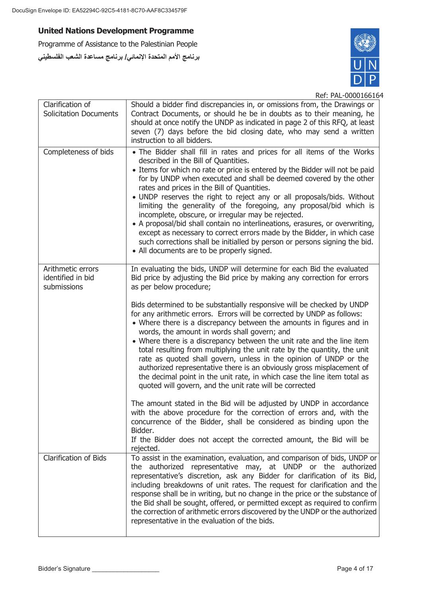Programme of Assistance to the Palestinian People **برنامج الأمم المتحدة الإنمائي/ برنامج مساعدة الشعب الفلسطیني**



| Clarification of<br><b>Solicitation Documents</b>     | Should a bidder find discrepancies in, or omissions from, the Drawings or<br>Contract Documents, or should he be in doubts as to their meaning, he<br>should at once notify the UNDP as indicated in page 2 of this RFQ, at least<br>seven (7) days before the bid closing date, who may send a written<br>instruction to all bidders.                                                                                                                                                                                                                                                                                                                                                                                                                                                                                                                                                                                                                                                                                                                                                                                                                                                                                   |
|-------------------------------------------------------|--------------------------------------------------------------------------------------------------------------------------------------------------------------------------------------------------------------------------------------------------------------------------------------------------------------------------------------------------------------------------------------------------------------------------------------------------------------------------------------------------------------------------------------------------------------------------------------------------------------------------------------------------------------------------------------------------------------------------------------------------------------------------------------------------------------------------------------------------------------------------------------------------------------------------------------------------------------------------------------------------------------------------------------------------------------------------------------------------------------------------------------------------------------------------------------------------------------------------|
| Completeness of bids                                  | . The Bidder shall fill in rates and prices for all items of the Works<br>described in the Bill of Quantities.<br>• Items for which no rate or price is entered by the Bidder will not be paid<br>for by UNDP when executed and shall be deemed covered by the other<br>rates and prices in the Bill of Quantities.<br>• UNDP reserves the right to reject any or all proposals/bids. Without<br>limiting the generality of the foregoing, any proposal/bid which is<br>incomplete, obscure, or irregular may be rejected.<br>• A proposal/bid shall contain no interlineations, erasures, or overwriting,<br>except as necessary to correct errors made by the Bidder, in which case<br>such corrections shall be initialled by person or persons signing the bid.<br>• All documents are to be properly signed.                                                                                                                                                                                                                                                                                                                                                                                                        |
| Arithmetic errors<br>identified in bid<br>submissions | In evaluating the bids, UNDP will determine for each Bid the evaluated<br>Bid price by adjusting the Bid price by making any correction for errors<br>as per below procedure;<br>Bids determined to be substantially responsive will be checked by UNDP<br>for any arithmetic errors. Errors will be corrected by UNDP as follows:<br>• Where there is a discrepancy between the amounts in figures and in<br>words, the amount in words shall govern; and<br>• Where there is a discrepancy between the unit rate and the line item<br>total resulting from multiplying the unit rate by the quantity, the unit<br>rate as quoted shall govern, unless in the opinion of UNDP or the<br>authorized representative there is an obviously gross misplacement of<br>the decimal point in the unit rate, in which case the line item total as<br>quoted will govern, and the unit rate will be corrected<br>The amount stated in the Bid will be adjusted by UNDP in accordance<br>with the above procedure for the correction of errors and, with the<br>concurrence of the Bidder, shall be considered as binding upon the<br>Bidder.<br>If the Bidder does not accept the corrected amount, the Bid will be<br>rejected. |
| Clarification of Bids                                 | To assist in the examination, evaluation, and comparison of bids, UNDP or<br>the authorized representative may, at UNDP or the authorized<br>representative's discretion, ask any Bidder for clarification of its Bid,<br>including breakdowns of unit rates. The request for clarification and the<br>response shall be in writing, but no change in the price or the substance of<br>the Bid shall be sought, offered, or permitted except as required to confirm<br>the correction of arithmetic errors discovered by the UNDP or the authorized<br>representative in the evaluation of the bids.                                                                                                                                                                                                                                                                                                                                                                                                                                                                                                                                                                                                                     |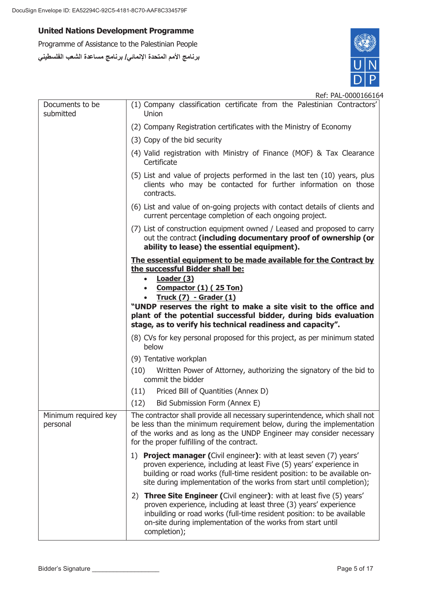Programme of Assistance to the Palestinian People **برنامج الأمم المتحدة الإنمائي/ برنامج مساعدة الشعب الفلسطیني**



| Documents to be<br>submitted     | (1) Company classification certificate from the Palestinian Contractors'<br>Union                                                                                                                                                                                                                                                                                                           |
|----------------------------------|---------------------------------------------------------------------------------------------------------------------------------------------------------------------------------------------------------------------------------------------------------------------------------------------------------------------------------------------------------------------------------------------|
|                                  | (2) Company Registration certificates with the Ministry of Economy                                                                                                                                                                                                                                                                                                                          |
|                                  | (3) Copy of the bid security                                                                                                                                                                                                                                                                                                                                                                |
|                                  | (4) Valid registration with Ministry of Finance (MOF) & Tax Clearance<br>Certificate                                                                                                                                                                                                                                                                                                        |
|                                  | (5) List and value of projects performed in the last ten (10) years, plus<br>clients who may be contacted for further information on those<br>contracts.                                                                                                                                                                                                                                    |
|                                  | (6) List and value of on-going projects with contact details of clients and<br>current percentage completion of each ongoing project.                                                                                                                                                                                                                                                       |
|                                  | (7) List of construction equipment owned / Leased and proposed to carry<br>out the contract (including documentary proof of ownership (or<br>ability to lease) the essential equipment).                                                                                                                                                                                                    |
|                                  | The essential equipment to be made available for the Contract by<br>the successful Bidder shall be:<br>Loader (3)<br>$\bullet$<br>Compactor (1) (25 Ton)<br>Truck $(7)$ - Grader $(1)$<br>"UNDP reserves the right to make a site visit to the office and<br>plant of the potential successful bidder, during bids evaluation<br>stage, as to verify his technical readiness and capacity". |
|                                  | (8) CVs for key personal proposed for this project, as per minimum stated<br>below                                                                                                                                                                                                                                                                                                          |
|                                  | (9) Tentative workplan                                                                                                                                                                                                                                                                                                                                                                      |
|                                  | Written Power of Attorney, authorizing the signatory of the bid to<br>(10)<br>commit the bidder                                                                                                                                                                                                                                                                                             |
|                                  | Priced Bill of Quantities (Annex D)<br>(11)                                                                                                                                                                                                                                                                                                                                                 |
|                                  | (12)<br>Bid Submission Form (Annex E)                                                                                                                                                                                                                                                                                                                                                       |
| Minimum required key<br>personal | The contractor shall provide all necessary superintendence, which shall not<br>be less than the minimum requirement below, during the implementation<br>of the works and as long as the UNDP Engineer may consider necessary<br>for the proper fulfilling of the contract.                                                                                                                  |
|                                  | <b>Project manager (Civil engineer): with at least seven (7) years'</b><br>1)<br>proven experience, including at least Five (5) years' experience in<br>building or road works (full-time resident position: to be available on-<br>site during implementation of the works from start until completion);                                                                                   |
|                                  | 2) Three Site Engineer (Civil engineer): with at least five (5) years'<br>proven experience, including at least three (3) years' experience<br>inbuilding or road works (full-time resident position: to be available<br>on-site during implementation of the works from start until<br>completion);                                                                                        |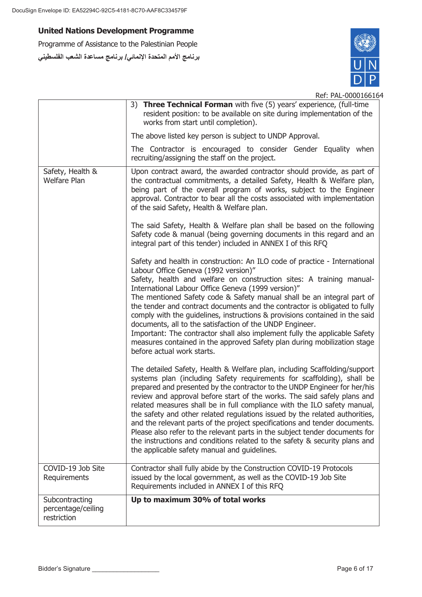Programme of Assistance to the Palestinian People **برنامج الأمم المتحدة الإنمائي/ برنامج مساعدة الشعب الفلسطیني**



|                                                     | 3) Three Technical Forman with five (5) years' experience, (full-time<br>resident position: to be available on site during implementation of the<br>works from start until completion).                                                                                                                                                                                                                                                                                                                                                                                                                                                                                                                                                                            |
|-----------------------------------------------------|--------------------------------------------------------------------------------------------------------------------------------------------------------------------------------------------------------------------------------------------------------------------------------------------------------------------------------------------------------------------------------------------------------------------------------------------------------------------------------------------------------------------------------------------------------------------------------------------------------------------------------------------------------------------------------------------------------------------------------------------------------------------|
|                                                     | The above listed key person is subject to UNDP Approval.                                                                                                                                                                                                                                                                                                                                                                                                                                                                                                                                                                                                                                                                                                           |
|                                                     | The Contractor is encouraged to consider Gender Equality when<br>recruiting/assigning the staff on the project.                                                                                                                                                                                                                                                                                                                                                                                                                                                                                                                                                                                                                                                    |
| Safety, Health &<br><b>Welfare Plan</b>             | Upon contract award, the awarded contractor should provide, as part of<br>the contractual commitments, a detailed Safety, Health & Welfare plan,<br>being part of the overall program of works, subject to the Engineer<br>approval. Contractor to bear all the costs associated with implementation<br>of the said Safety, Health & Welfare plan.                                                                                                                                                                                                                                                                                                                                                                                                                 |
|                                                     | The said Safety, Health & Welfare plan shall be based on the following<br>Safety code & manual (being governing documents in this regard and an<br>integral part of this tender) included in ANNEX I of this RFQ                                                                                                                                                                                                                                                                                                                                                                                                                                                                                                                                                   |
|                                                     | Safety and health in construction: An ILO code of practice - International<br>Labour Office Geneva (1992 version)"<br>Safety, health and welfare on construction sites: A training manual-<br>International Labour Office Geneva (1999 version)"<br>The mentioned Safety code & Safety manual shall be an integral part of<br>the tender and contract documents and the contractor is obligated to fully<br>comply with the guidelines, instructions & provisions contained in the said<br>documents, all to the satisfaction of the UNDP Engineer.<br>Important: The contractor shall also implement fully the applicable Safety<br>measures contained in the approved Safety plan during mobilization stage<br>before actual work starts.                        |
|                                                     | The detailed Safety, Health & Welfare plan, including Scaffolding/support<br>systems plan (including Safety requirements for scaffolding), shall be<br>prepared and presented by the contractor to the UNDP Engineer for her/his<br>review and approval before start of the works. The said safely plans and<br>related measures shall be in full compliance with the ILO safety manual,<br>the safety and other related regulations issued by the related authorities,<br>and the relevant parts of the project specifications and tender documents.<br>Please also refer to the relevant parts in the subject tender documents for<br>the instructions and conditions related to the safety & security plans and<br>the applicable safety manual and guidelines. |
| COVID-19 Job Site<br>Requirements                   | Contractor shall fully abide by the Construction COVID-19 Protocols<br>issued by the local government, as well as the COVID-19 Job Site<br>Requirements included in ANNEX I of this RFQ                                                                                                                                                                                                                                                                                                                                                                                                                                                                                                                                                                            |
| Subcontracting<br>percentage/ceiling<br>restriction | Up to maximum 30% of total works                                                                                                                                                                                                                                                                                                                                                                                                                                                                                                                                                                                                                                                                                                                                   |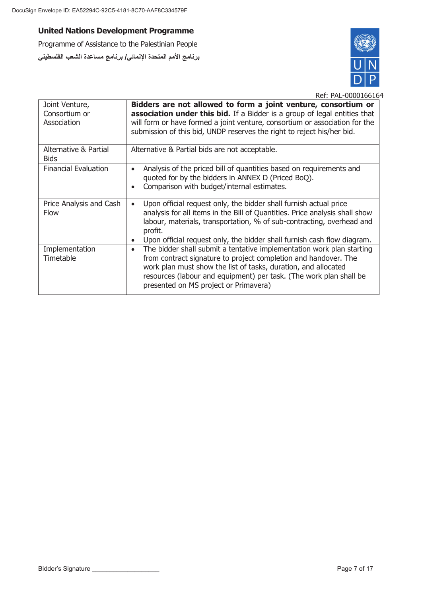Programme of Assistance to the Palestinian People **برنامج الأمم المتحدة الإنمائي/ برنامج مساعدة الشعب الفلسطیني**



| Joint Venture,<br>Consortium or<br>Association | Bidders are not allowed to form a joint venture, consortium or<br>association under this bid. If a Bidder is a group of legal entities that<br>will form or have formed a joint venture, consortium or association for the<br>submission of this bid, UNDP reserves the right to reject his/her bid.                                      |
|------------------------------------------------|-------------------------------------------------------------------------------------------------------------------------------------------------------------------------------------------------------------------------------------------------------------------------------------------------------------------------------------------|
| Alternative & Partial<br><b>Bids</b>           | Alternative & Partial bids are not acceptable.                                                                                                                                                                                                                                                                                            |
| <b>Financial Evaluation</b>                    | Analysis of the priced bill of quantities based on requirements and<br>$\bullet$<br>quoted for by the bidders in ANNEX D (Priced BoQ).<br>Comparison with budget/internal estimates.                                                                                                                                                      |
| Price Analysis and Cash<br><b>Flow</b>         | Upon official request only, the bidder shall furnish actual price<br>$\bullet$<br>analysis for all items in the Bill of Quantities. Price analysis shall show<br>labour, materials, transportation, % of sub-contracting, overhead and<br>profit.<br>Upon official request only, the bidder shall furnish cash flow diagram.<br>$\bullet$ |
| Implementation<br>Timetable                    | The bidder shall submit a tentative implementation work plan starting<br>$\bullet$<br>from contract signature to project completion and handover. The<br>work plan must show the list of tasks, duration, and allocated<br>resources (labour and equipment) per task. (The work plan shall be<br>presented on MS project or Primavera)    |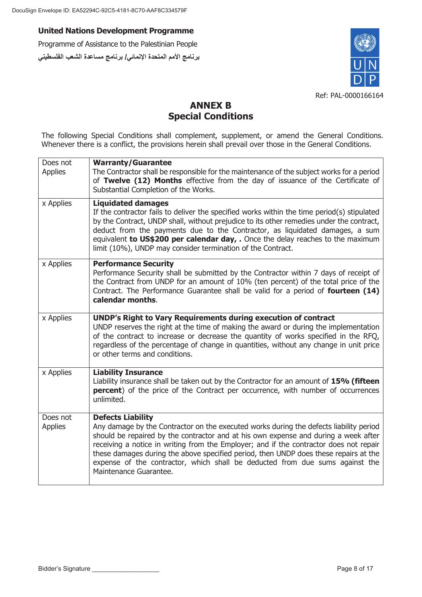Programme of Assistance to the Palestinian People **برنامج الأمم المتحدة الإنمائي/ برنامج مساعدة الشعب الفلسطیني**



## **ANNEX B Special Conditions**

The following Special Conditions shall complement, supplement, or amend the General Conditions. Whenever there is a conflict, the provisions herein shall prevail over those in the General Conditions.

| Does not<br><b>Applies</b> | <b>Warranty/Guarantee</b><br>The Contractor shall be responsible for the maintenance of the subject works for a period<br>of Twelve (12) Months effective from the day of issuance of the Certificate of<br>Substantial Completion of the Works.                                                                                                                                                                                                                                                      |
|----------------------------|-------------------------------------------------------------------------------------------------------------------------------------------------------------------------------------------------------------------------------------------------------------------------------------------------------------------------------------------------------------------------------------------------------------------------------------------------------------------------------------------------------|
| x Applies                  | <b>Liquidated damages</b><br>If the contractor fails to deliver the specified works within the time period(s) stipulated<br>by the Contract, UNDP shall, without prejudice to its other remedies under the contract,<br>deduct from the payments due to the Contractor, as liquidated damages, a sum<br>equivalent to US\$200 per calendar day, . Once the delay reaches to the maximum<br>limit (10%), UNDP may consider termination of the Contract.                                                |
| x Applies                  | <b>Performance Security</b><br>Performance Security shall be submitted by the Contractor within 7 days of receipt of<br>the Contract from UNDP for an amount of 10% (ten percent) of the total price of the<br>Contract. The Performance Guarantee shall be valid for a period of fourteen (14)<br>calendar months.                                                                                                                                                                                   |
| x Applies                  | <b>UNDP's Right to Vary Requirements during execution of contract</b><br>UNDP reserves the right at the time of making the award or during the implementation<br>of the contract to increase or decrease the quantity of works specified in the RFQ,<br>regardless of the percentage of change in quantities, without any change in unit price<br>or other terms and conditions.                                                                                                                      |
| x Applies                  | <b>Liability Insurance</b><br>Liability insurance shall be taken out by the Contractor for an amount of 15% (fifteen<br>percent) of the price of the Contract per occurrence, with number of occurrences<br>unlimited.                                                                                                                                                                                                                                                                                |
| Does not<br><b>Applies</b> | <b>Defects Liability</b><br>Any damage by the Contractor on the executed works during the defects liability period<br>should be repaired by the contractor and at his own expense and during a week after<br>receiving a notice in writing from the Employer; and if the contractor does not repair<br>these damages during the above specified period, then UNDP does these repairs at the<br>expense of the contractor, which shall be deducted from due sums against the<br>Maintenance Guarantee. |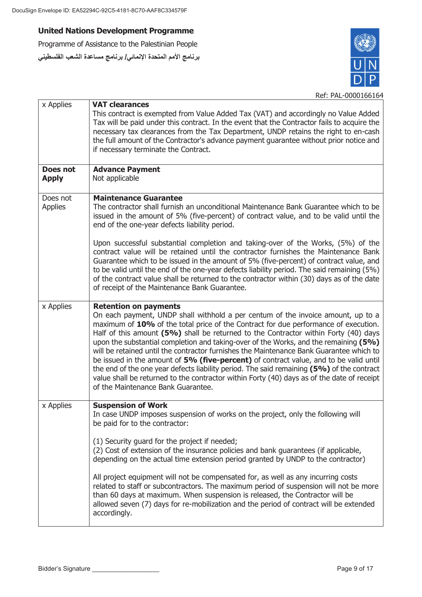# **United Nations Development Programme**

Programme of Assistance to the Palestinian People **برنامج الأمم المتحدة الإنمائي/ برنامج مساعدة الشعب الفلسطیني**



| x Applies                  | <b>VAT clearances</b><br>This contract is exempted from Value Added Tax (VAT) and accordingly no Value Added<br>Tax will be paid under this contract. In the event that the Contractor fails to acquire the<br>necessary tax clearances from the Tax Department, UNDP retains the right to en-cash<br>the full amount of the Contractor's advance payment guarantee without prior notice and<br>if necessary terminate the Contract.                                                                                                                                                                                                                                                                                                                                                                        |
|----------------------------|-------------------------------------------------------------------------------------------------------------------------------------------------------------------------------------------------------------------------------------------------------------------------------------------------------------------------------------------------------------------------------------------------------------------------------------------------------------------------------------------------------------------------------------------------------------------------------------------------------------------------------------------------------------------------------------------------------------------------------------------------------------------------------------------------------------|
| Does not<br><b>Apply</b>   | <b>Advance Payment</b><br>Not applicable                                                                                                                                                                                                                                                                                                                                                                                                                                                                                                                                                                                                                                                                                                                                                                    |
| Does not<br><b>Applies</b> | <b>Maintenance Guarantee</b><br>The contractor shall furnish an unconditional Maintenance Bank Guarantee which to be<br>issued in the amount of 5% (five-percent) of contract value, and to be valid until the<br>end of the one-year defects liability period.                                                                                                                                                                                                                                                                                                                                                                                                                                                                                                                                             |
|                            | Upon successful substantial completion and taking-over of the Works, (5%) of the<br>contract value will be retained until the contractor furnishes the Maintenance Bank<br>Guarantee which to be issued in the amount of 5% (five-percent) of contract value, and<br>to be valid until the end of the one-year defects liability period. The said remaining (5%)<br>of the contract value shall be returned to the contractor within (30) days as of the date<br>of receipt of the Maintenance Bank Guarantee.                                                                                                                                                                                                                                                                                              |
| x Applies                  | <b>Retention on payments</b><br>On each payment, UNDP shall withhold a per centum of the invoice amount, up to a<br>maximum of 10% of the total price of the Contract for due performance of execution.<br>Half of this amount (5%) shall be returned to the Contractor within Forty (40) days<br>upon the substantial completion and taking-over of the Works, and the remaining (5%)<br>will be retained until the contractor furnishes the Maintenance Bank Guarantee which to<br>be issued in the amount of 5% (five-percent) of contract value, and to be valid until<br>the end of the one year defects liability period. The said remaining (5%) of the contract<br>value shall be returned to the contractor within Forty (40) days as of the date of receipt<br>of the Maintenance Bank Guarantee. |
| x Applies                  | <b>Suspension of Work</b><br>In case UNDP imposes suspension of works on the project, only the following will<br>be paid for to the contractor:<br>(1) Security guard for the project if needed;<br>(2) Cost of extension of the insurance policies and bank guarantees (if applicable,<br>depending on the actual time extension period granted by UNDP to the contractor)<br>All project equipment will not be compensated for, as well as any incurring costs<br>related to staff or subcontractors. The maximum period of suspension will not be more<br>than 60 days at maximum. When suspension is released, the Contractor will be                                                                                                                                                                   |
|                            | allowed seven (7) days for re-mobilization and the period of contract will be extended<br>accordingly.                                                                                                                                                                                                                                                                                                                                                                                                                                                                                                                                                                                                                                                                                                      |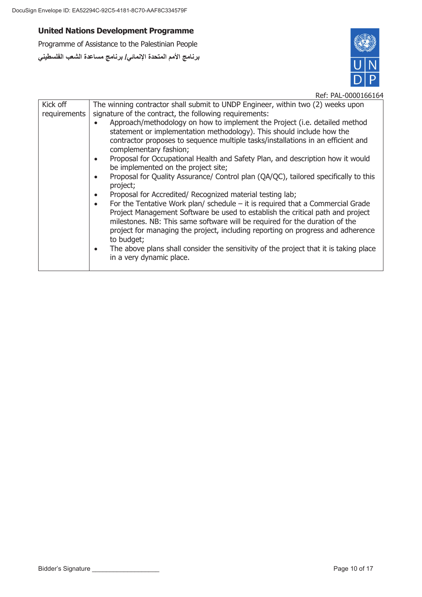Programme of Assistance to the Palestinian People **برنامج الأمم المتحدة الإنمائي/ برنامج مساعدة الشعب الفلسطیني**



| Kick off     | The winning contractor shall submit to UNDP Engineer, within two (2) weeks upon                                                                                                                                                                                                                                                                                 |
|--------------|-----------------------------------------------------------------------------------------------------------------------------------------------------------------------------------------------------------------------------------------------------------------------------------------------------------------------------------------------------------------|
| requirements | signature of the contract, the following requirements:                                                                                                                                                                                                                                                                                                          |
|              | Approach/methodology on how to implement the Project (i.e. detailed method<br>statement or implementation methodology). This should include how the<br>contractor proposes to sequence multiple tasks/installations in an efficient and<br>complementary fashion;                                                                                               |
|              |                                                                                                                                                                                                                                                                                                                                                                 |
|              | Proposal for Occupational Health and Safety Plan, and description how it would<br>$\bullet$<br>be implemented on the project site;                                                                                                                                                                                                                              |
|              | Proposal for Quality Assurance/ Control plan (QA/QC), tailored specifically to this<br>$\bullet$<br>project;                                                                                                                                                                                                                                                    |
|              | Proposal for Accredited/ Recognized material testing lab;<br>$\bullet$                                                                                                                                                                                                                                                                                          |
|              | For the Tentative Work plan/ schedule $-$ it is required that a Commercial Grade<br>$\bullet$<br>Project Management Software be used to establish the critical path and project<br>milestones. NB: This same software will be required for the duration of the<br>project for managing the project, including reporting on progress and adherence<br>to budget; |
|              | The above plans shall consider the sensitivity of the project that it is taking place<br>$\bullet$<br>in a very dynamic place.                                                                                                                                                                                                                                  |
|              |                                                                                                                                                                                                                                                                                                                                                                 |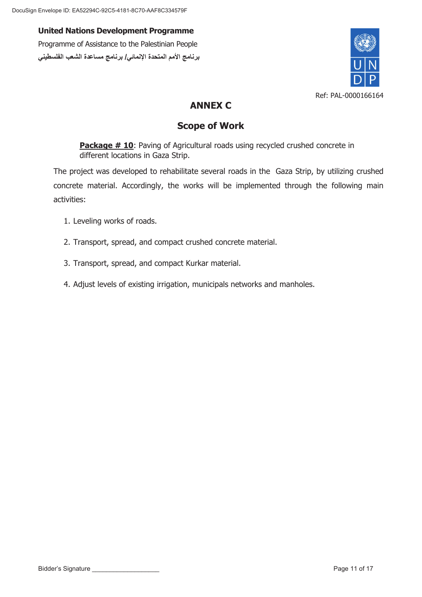**United Nations Development Programme** Programme of Assistance to the Palestinian People **برنامج الأمم المتحدة الإنمائي/ برنامج مساعدة الشعب الفلسطیني**



## **ANNEX C**

## **Scope of Work**

**Package # 10:** Paving of Agricultural roads using recycled crushed concrete in different locations in Gaza Strip.

The project was developed to rehabilitate several roads in the Gaza Strip, by utilizing crushed concrete material. Accordingly, the works will be implemented through the following main activities:

- 1. Leveling works of roads.
- 2. Transport, spread, and compact crushed concrete material.
- 3. Transport, spread, and compact Kurkar material.
- 4. Adjust levels of existing irrigation, municipals networks and manholes.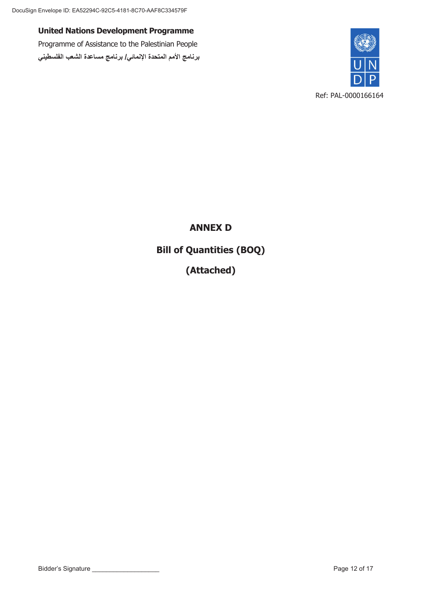Programme of Assistance to the Palestinian People **برنامج الأمم المتحدة الإنمائي/ برنامج مساعدة الشعب الفلسطیني**



**ANNEX D Bill of Quantities (BOQ) (Attached)**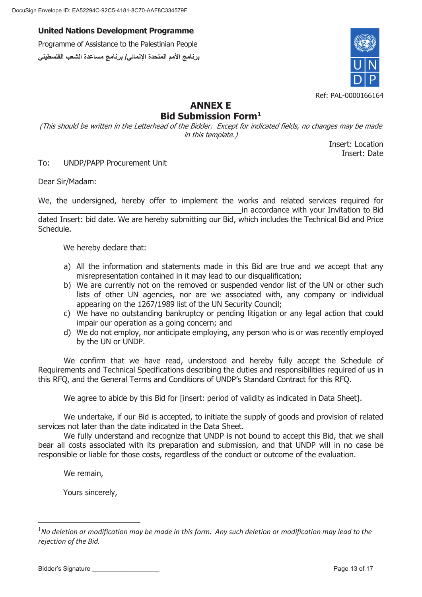Programme of Assistance to the Palestinian People **برنامج الأمم المتحدة الإنمائي/ برنامج مساعدة الشعب الفلسطیني**



# **ANNEX E**

## **Bid Submission Form1**

(This should be written in the Letterhead of the Bidder. Except for indicated fields, no changes may be made in this template.)

> Insert: Location Insert: Date

To: UNDP/PAPP Procurement Unit

Dear Sir/Madam:

We, the undersigned, hereby offer to implement the works and related services required for **\_\_\_\_\_\_\_\_\_\_\_\_\_\_\_\_\_\_\_\_\_\_\_\_\_\_\_\_\_\_\_\_\_\_\_\_\_\_\_\_\_**in accordance with your Invitation to Bid dated Insert: bid date. We are hereby submitting our Bid, which includes the Technical Bid and Price Schedule.

We hereby declare that:

- a) All the information and statements made in this Bid are true and we accept that any misrepresentation contained in it may lead to our disqualification;
- b) We are currently not on the removed or suspended vendor list of the UN or other such lists of other UN agencies, nor are we associated with, any company or individual appearing on the 1267/1989 list of the UN Security Council;
- c) We have no outstanding bankruptcy or pending litigation or any legal action that could impair our operation as a going concern; and
- d) We do not employ, nor anticipate employing, any person who is or was recently employed by the UN or UNDP.

We confirm that we have read, understood and hereby fully accept the Schedule of Requirements and Technical Specifications describing the duties and responsibilities required of us in this RFQ, and the General Terms and Conditions of UNDP's Standard Contract for this RFQ.

We agree to abide by this Bid for [insert: period of validity as indicated in Data Sheet].

We undertake, if our Bid is accepted, to initiate the supply of goods and provision of related services not later than the date indicated in the Data Sheet.

We fully understand and recognize that UNDP is not bound to accept this Bid, that we shall bear all costs associated with its preparation and submission, and that UNDP will in no case be responsible or liable for those costs, regardless of the conduct or outcome of the evaluation.

We remain,

-

Yours sincerely,

<sup>&</sup>lt;sup>1</sup>No deletion or modification may be made in this form. Any such deletion or modification may lead to the *rejection of the Bid.*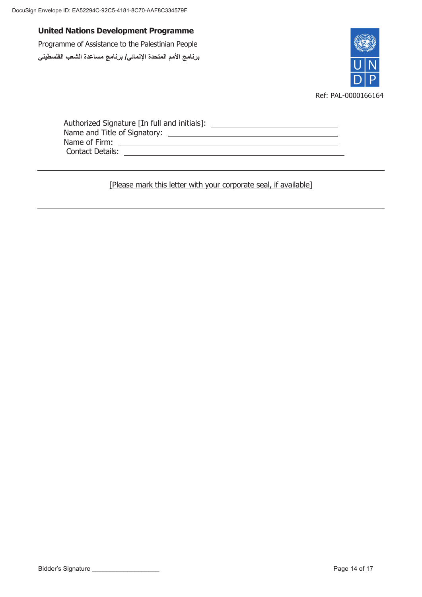Programme of Assistance to the Palestinian People **برنامج الأمم المتحدة الإنمائي/ برنامج مساعدة الشعب الفلسطیني**



| Authorized Signature [In full and initials]: |  |
|----------------------------------------------|--|
| Name and Title of Signatory:                 |  |
| Name of Firm:                                |  |
| <b>Contact Details:</b>                      |  |

[Please mark this letter with your corporate seal, if available]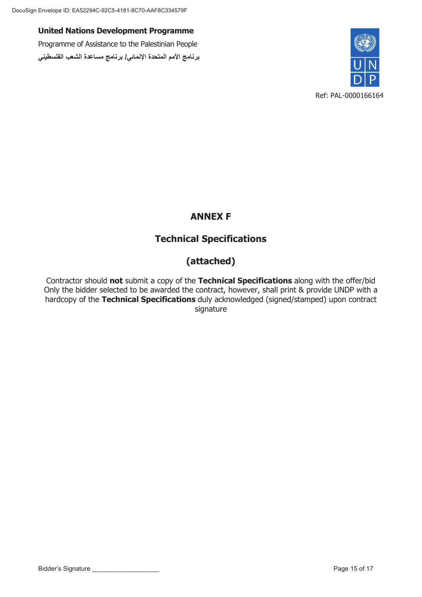Programme of Assistance to the Palestinian People **برنامج الأمم المتحدة الإنمائي/ برنامج مساعدة الشعب الفلسطیني**



# **ANNEX F**

# **Technical Specifications**

# **(attached)**

Contractor should **not** submit a copy of the **Technical Specifications** along with the offer/bid Only the bidder selected to be awarded the contract, however, shall print & provide UNDP with a hardcopy of the **Technical Specifications** duly acknowledged (signed/stamped) upon contract signature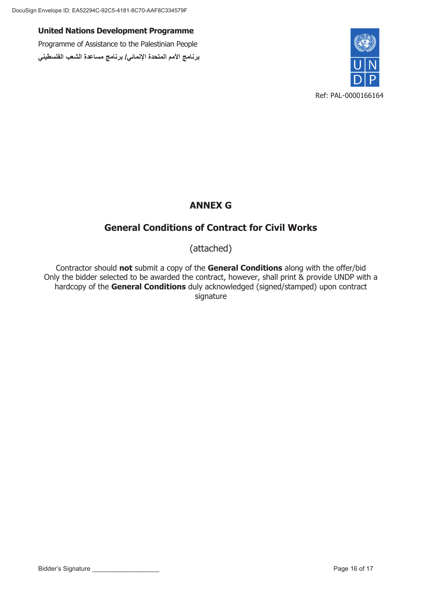**United Nations Development Programme** Programme of Assistance to the Palestinian People **برنامج الأمم المتحدة الإنمائي/ برنامج مساعدة الشعب الفلسطیني**



## **ANNEX G**

## **General Conditions of Contract for Civil Works**

(attached)

Contractor should **not** submit a copy of the **General Conditions** along with the offer/bid Only the bidder selected to be awarded the contract, however, shall print & provide UNDP with a hardcopy of the **General Conditions** duly acknowledged (signed/stamped) upon contract signature